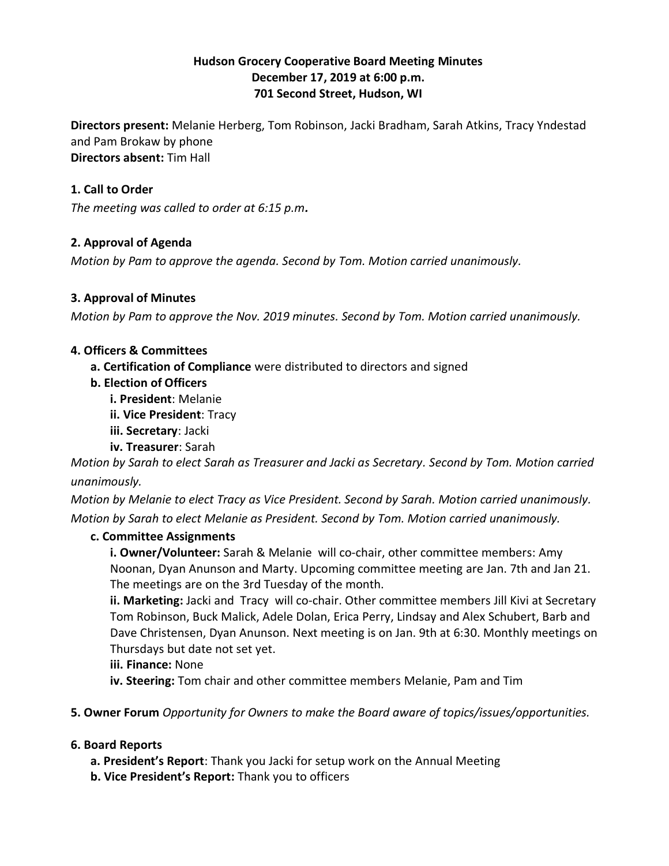# **Hudson Grocery Cooperative Board Meeting Minutes December 17, 2019 at 6:00 p.m. 701 Second Street, Hudson, WI**

**Directors present:** Melanie Herberg, Tom Robinson, Jacki Bradham, Sarah Atkins, Tracy Yndestad and Pam Brokaw by phone **Directors absent:** Tim Hall

# **1. Call to Order**

*The meeting was called to order at 6:15 p.m.*

# **2. Approval of Agenda**

*Motion by Pam to approve the agenda. Second by Tom. Motion carried unanimously.*

# **3. Approval of Minutes**

*Motion by Pam to approve the Nov. 2019 minutes. Second by Tom. Motion carried unanimously.*

# **4. Officers & Committees**

**a. Certification of Compliance** were distributed to directors and signed

- **b. Election of Officers**
	- **i. President**: Melanie
	- **ii. Vice President**: Tracy

**iii. Secretary**: Jacki

**iv. Treasurer**: Sarah

*Motion by Sarah to elect Sarah as Treasurer and Jacki as Secretary. Second by Tom. Motion carried unanimously.*

*Motion by Melanie to elect Tracy as Vice President. Second by Sarah. Motion carried unanimously. Motion by Sarah to elect Melanie as President. Second by Tom. Motion carried unanimously.*

# **c. Committee Assignments**

**i. Owner/Volunteer:** Sarah & Melanie will co-chair, other committee members: Amy Noonan, Dyan Anunson and Marty. Upcoming committee meeting are Jan. 7th and Jan 21. The meetings are on the 3rd Tuesday of the month.

**ii. Marketing:** Jacki and Tracy will co-chair. Other committee members Jill Kivi at Secretary Tom Robinson, Buck Malick, Adele Dolan, Erica Perry, Lindsay and Alex Schubert, Barb and Dave Christensen, Dyan Anunson. Next meeting is on Jan. 9th at 6:30. Monthly meetings on Thursdays but date not set yet.

**iii. Finance:** None

**iv. Steering:** Tom chair and other committee members Melanie, Pam and Tim

**5. Owner Forum** *Opportunity for Owners to make the Board aware of topics/issues/opportunities.*

# **6. Board Reports**

- **a. President's Report**: Thank you Jacki for setup work on the Annual Meeting
- **b. Vice President's Report:** Thank you to officers